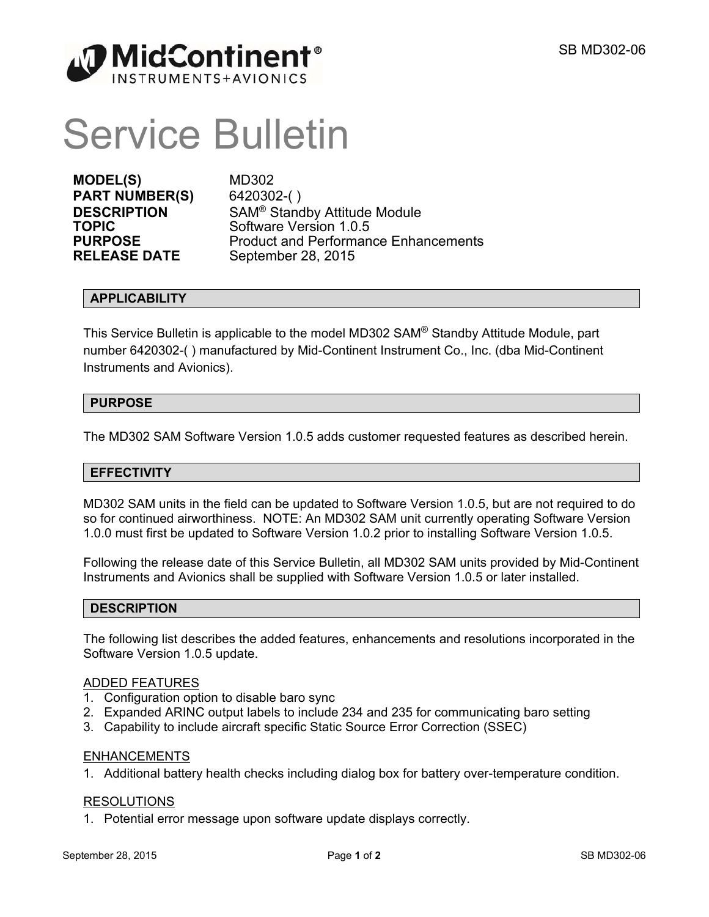

# Service Bulletin

**MODEL(S)** MD302 **PART NUMBER(S)** 6420302-( )

**DESCRIPTION** SAM<sup>®</sup> Standby Attitude Module **TOPIC** Software Version 1.0.5 **PURPOSE** Product and Performance Enhancements<br> **RELEASE DATE** September 28, 2015 **September 28, 2015** 

# **APPLICABILITY**

This Service Bulletin is applicable to the model MD302 SAM® Standby Attitude Module, part number 6420302-( ) manufactured by Mid-Continent Instrument Co., Inc. (dba Mid-Continent Instruments and Avionics).

# **PURPOSE**

The MD302 SAM Software Version 1.0.5 adds customer requested features as described herein.

# **EFFECTIVITY**

MD302 SAM units in the field can be updated to Software Version 1.0.5, but are not required to do so for continued airworthiness. NOTE: An MD302 SAM unit currently operating Software Version 1.0.0 must first be updated to Software Version 1.0.2 prior to installing Software Version 1.0.5.

Following the release date of this Service Bulletin, all MD302 SAM units provided by Mid-Continent Instruments and Avionics shall be supplied with Software Version 1.0.5 or later installed.

# **DESCRIPTION**

The following list describes the added features, enhancements and resolutions incorporated in the Software Version 1.0.5 update.

### ADDED FEATURES

- 1. Configuration option to disable baro sync
- 2. Expanded ARINC output labels to include 234 and 235 for communicating baro setting
- 3. Capability to include aircraft specific Static Source Error Correction (SSEC)

# ENHANCEMENTS

1. Additional battery health checks including dialog box for battery over-temperature condition.

#### RESOLUTIONS

1. Potential error message upon software update displays correctly.